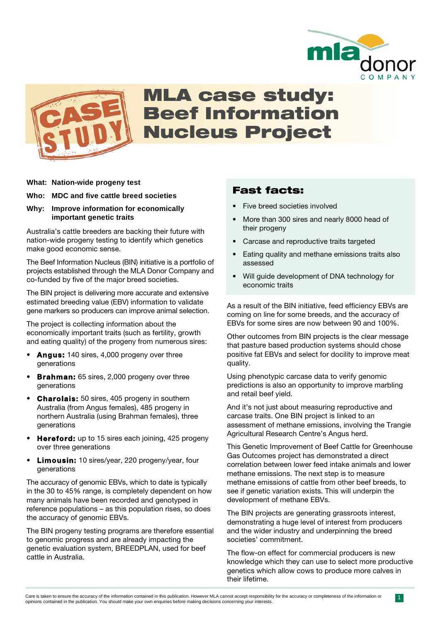



## MLA case study: Beef Information Nucleus Project

#### **What: Nation-wide progeny test**

#### **Who: MDC and five cattle breed societies**

#### **Why: Improve information for economically important genetic traits**

Australia's cattle breeders are backing their future with nation-wide progeny testing to identify which genetics make good economic sense.

The Beef Information Nucleus (BIN) initiative is a portfolio of projects established through the MLA Donor Company and co-funded by five of the major breed societies.

The BIN project is delivering more accurate and extensive estimated breeding value (EBV) information to validate gene markers so producers can improve animal selection.

The project is collecting information about the economically important traits (such as fertility, growth and eating quality) of the progeny from numerous sires:

- **Angus:** 140 sires, 4,000 progeny over three generations
- **Brahman:** 65 sires, 2,000 progeny over three generations
- **Charolais:** 50 sires, 405 progeny in southern Australia (from Angus females), 485 progeny in northern Australia (using Brahman females), three generations
- **Hereford:** up to 15 sires each joining, 425 progeny over three generations
- **Limousin:** 10 sires/year, 220 progeny/year, four generations

The accuracy of genomic EBVs, which to date is typically in the 30 to 45% range, is completely dependent on how many animals have been recorded and genotyped in reference populations – as this population rises, so does the accuracy of genomic EBVs.

The BIN progeny testing programs are therefore essential to genomic progress and are already impacting the genetic evaluation system, BREEDPLAN, used for beef cattle in Australia.

## Fast facts:

- Five breed societies involved
- More than 300 sires and nearly 8000 head of their progeny
- Carcase and reproductive traits targeted
- Eating quality and methane emissions traits also assessed
- Will guide development of DNA technology for economic traits

As a result of the BIN initiative, feed efficiency EBVs are coming on line for some breeds, and the accuracy of EBVs for some sires are now between 90 and 100%.

Other outcomes from BIN projects is the clear message that pasture based production systems should chose positive fat EBVs and select for docility to improve meat quality.

Using phenotypic carcase data to verify genomic predictions is also an opportunity to improve marbling and retail beef yield.

And it's not just about measuring reproductive and carcase traits. One BIN project is linked to an assessment of methane emissions, involving the Trangie Agricultural Research Centre's Angus herd.

This Genetic Improvement of Beef Cattle for Greenhouse Gas Outcomes project has demonstrated a direct correlation between lower feed intake animals and lower methane emissions. The next step is to measure methane emissions of cattle from other beef breeds, to see if genetic variation exists. This will underpin the development of methane EBVs.

The BIN projects are generating grassroots interest, demonstrating a huge level of interest from producers and the wider industry and underpinning the breed societies' commitment.

The flow-on effect for commercial producers is new knowledge which they can use to select more productive genetics which allow cows to produce more calves in their lifetime.